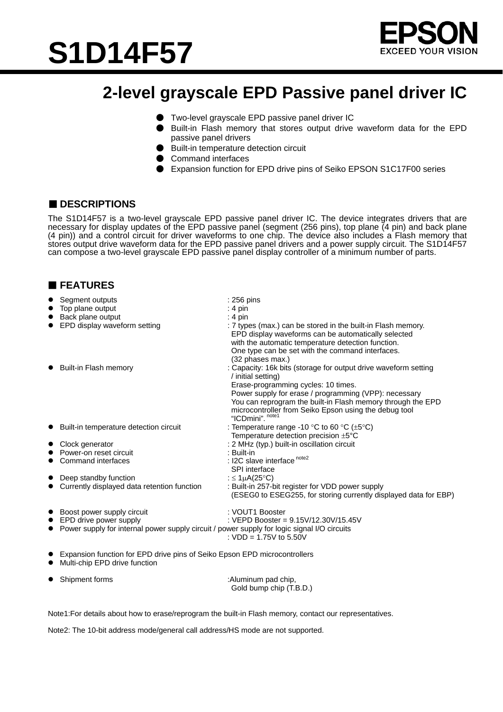



## **2-level grayscale EPD Passive panel driver IC**

- Two-level grayscale EPD passive panel driver IC
- Built-in Flash memory that stores output drive waveform data for the EPD passive panel drivers
- Built-in temperature detection circuit
- Command interfaces
- Expansion function for EPD drive pins of Seiko EPSON S1C17F00 series

### ■ **DESCRIPTIONS**

The S1D14F57 is a two-level grayscale EPD passive panel driver IC. The device integrates drivers that are necessary for display updates of the EPD passive panel (segment (256 pins), top plane (4 pin) and back plane (4 pin)) and a control circuit for driver waveforms to one chip. The device also includes a Flash memory that stores output drive waveform data for the EPD passive panel drivers and a power supply circuit. The S1D14F57 can compose a two-level grayscale EPD passive panel display controller of a minimum number of parts.

### **FEATURES**

| Segment outputs                                                                             | : 256 pins                                                                                                                                                                                                                                                                                                                        |  |
|---------------------------------------------------------------------------------------------|-----------------------------------------------------------------------------------------------------------------------------------------------------------------------------------------------------------------------------------------------------------------------------------------------------------------------------------|--|
| Top plane output                                                                            | $: 4 \text{ pin}$                                                                                                                                                                                                                                                                                                                 |  |
| Back plane output                                                                           | : 4 pin                                                                                                                                                                                                                                                                                                                           |  |
| EPD display waveform setting                                                                | : 7 types (max.) can be stored in the built-in Flash memory.<br>EPD display waveforms can be automatically selected<br>with the automatic temperature detection function.<br>One type can be set with the command interfaces.<br>(32 phases max.)                                                                                 |  |
| Built-in Flash memory                                                                       | : Capacity: 16k bits (storage for output drive waveform setting<br>/ initial setting)<br>Erase-programming cycles: 10 times.<br>Power supply for erase / programming (VPP): necessary<br>You can reprogram the built-in Flash memory through the EPD<br>microcontroller from Seiko Epson using the debug tool<br>"ICDmini". note1 |  |
| Built-in temperature detection circuit                                                      | : Temperature range -10 °C to 60 °C ( $\pm$ 5°C)<br>Temperature detection precision $\pm 5^{\circ}$ C                                                                                                                                                                                                                             |  |
| Clock generator                                                                             | : 2 MHz (typ.) built-in oscillation circuit                                                                                                                                                                                                                                                                                       |  |
| Power-on reset circuit                                                                      | : Built-in                                                                                                                                                                                                                                                                                                                        |  |
| Command interfaces                                                                          | : I2C slave interface <sup>note2</sup><br>SPI interface                                                                                                                                                                                                                                                                           |  |
| Deep standby function                                                                       | : $\leq$ 1µA(25°C)                                                                                                                                                                                                                                                                                                                |  |
| Currently displayed data retention function                                                 | : Built-in 257-bit register for VDD power supply<br>(ESEG0 to ESEG255, for storing currently displayed data for EBP)                                                                                                                                                                                                              |  |
| Boost power supply circuit                                                                  | : VOUT1 Booster                                                                                                                                                                                                                                                                                                                   |  |
| EPD drive power supply                                                                      | : VEPD Booster = 9.15V/12.30V/15.45V                                                                                                                                                                                                                                                                                              |  |
| Power supply for internal power supply circuit / power supply for logic signal I/O circuits | : $VDD = 1.75V$ to 5.50V                                                                                                                                                                                                                                                                                                          |  |
| Expansion function for EPD drive pins of Seiko Epson EPD microcontrollers                   |                                                                                                                                                                                                                                                                                                                                   |  |

 $\bullet$  Multi-chip EPD drive function

| • Shipment forms | :Aluminum pad chip,<br>Gold bump chip (T.B.D.) |
|------------------|------------------------------------------------|
|                  |                                                |

Note1:For details about how to erase/reprogram the built-in Flash memory, contact our representatives.

Note2: The 10-bit address mode/general call address/HS mode are not supported.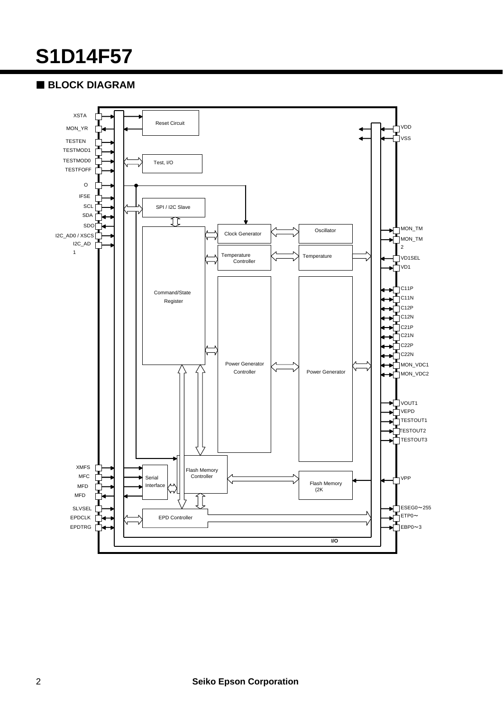# **S1D14F57**

## **BLOCK DIAGRAM**